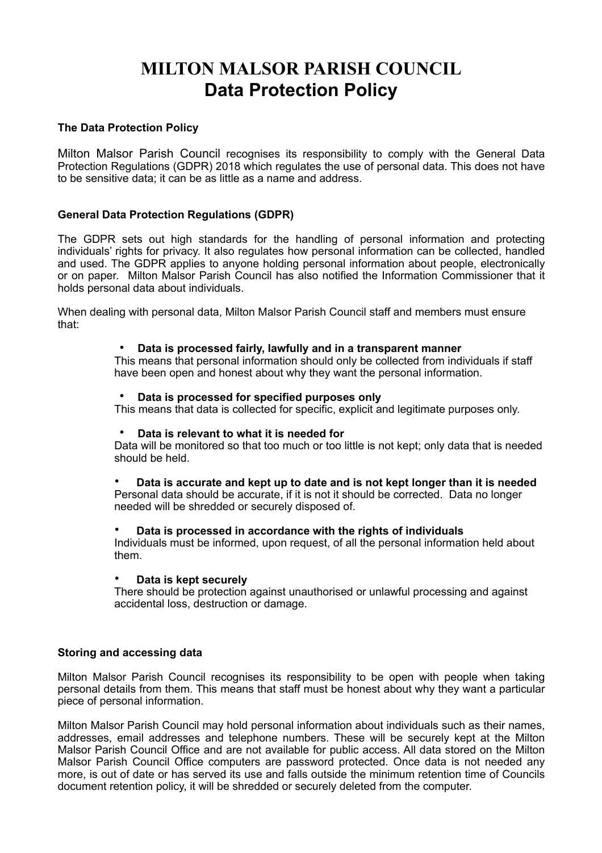# **MILTON MALSOR PARISH COUNCIL Data Protection Policy**

## **The Data Protection Policy**

Milton Malsor Parish Council recognises its responsibility to comply with the General Data Protection Regulations (GDPR) 2018 which regulates the use of personal data. This does not have to be sensitive data; it can be as little as a name and address.

# **General Data Protection Regulations (GDPR)**

The GDPR sets out high standards for the handling of personal information and protecting individuals' rights for privacy. It also regulates how personal information can be collected, handled and used. The GDPR applies to anyone holding personal information about people, electronically or on paper. Milton Malsor Parish Council has also notified the Information Commissioner that it holds personal data about individuals.

When dealing with personal data, Milton Malsor Parish Council staff and members must ensure that:

### • **Data is processed fairly, lawfully and in a transparent manner**

This means that personal information should only be collected from individuals if staff have been open and honest about why they want the personal information.

#### • **Data is processed for specified purposes only**

This means that data is collected for specific, explicit and legitimate purposes only.

#### • **Data is relevant to what it is needed for**

Data will be monitored so that too much or too little is not kept; only data that is needed should be held.

• **Data is accurate and kept up to date and is not kept longer than it is needed** Personal data should be accurate, if it is not it should be corrected. Data no longer needed will be shredded or securely disposed of.

#### • **Data is processed in accordance with the rights of individuals**

Individuals must be informed, upon request, of all the personal information held about them.

#### • **Data is kept securely**

There should be protection against unauthorised or unlawful processing and against accidental loss, destruction or damage.

#### **Storing and accessing data**

Milton Malsor Parish Council recognises its responsibility to be open with people when taking personal details from them. This means that staff must be honest about why they want a particular piece of personal information.

Milton Malsor Parish Council may hold personal information about individuals such as their names, addresses, email addresses and telephone numbers. These will be securely kept at the Milton Malsor Parish Council Office and are not available for public access. All data stored on the Milton Malsor Parish Council Office computers are password protected. Once data is not needed any more, is out of date or has served its use and falls outside the minimum retention time of Councils document retention policy, it will be shredded or securely deleted from the computer.